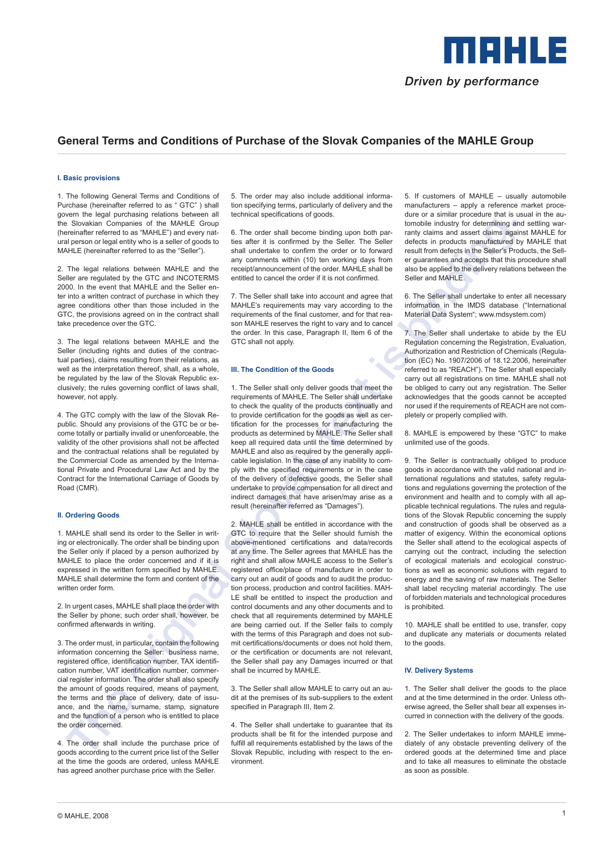

# **General Terms and Conditions of Purchase of the Slovak Companies of the MAHLE Group**

### **I. Basic provisions**

1. The following General Terms and Conditions of Purchase (hereinafter referred to as " GTC" ) shall govern the legal purchasing relations between all the Slovakian Companies of the MAHLE Group (hereinafter referred to as "MAHLE") and every natural person or legal entity who is a seller of goods to MAHLE (hereinafter referred to as the "Seller").

2. The legal relations between MAHLE and the Seller are regulated by the GTC and INCOTERMS 2000. In the event that MAHLE and the Seller enter into a written contract of purchase in which they agree conditions other than those included in the GTC, the provisions agreed on in the contract shall take precedence over the GTC.

3. The legal relations between MAHLE and the Seller (including rights and duties of the contractual parties), claims resulting from their relations, as well as the interpretation thereof, shall, as a whole, be regulated by the law of the Slovak Republic exclusively; the rules governing conflict of laws shall, however, not apply.

4. The GTC comply with the law of the Slovak Republic. Should any provisions of the GTC be or become totally or partially invalid or unenforceable, the validity of the other provisions shall not be affected and the contractual relations shall be regulated by the Commercial Code as amended by the International Private and Procedural Law Act and by the Contract for the International Carriage of Goods by Road (CMR).

# **II. Ordering Goods**

1. MAHLE shall send its order to the Seller in writing or electronically. The order shall be binding upon the Seller only if placed by a person authorized by MAHLE to place the order concerned and if it is expressed in the written form specified by MAHLE. MAHLE shall determine the form and content of the written order form.

2. In urgent cases, MAHLE shall place the order with the Seller by phone; such order shall, however, be confirmed afterwards in writing.

3. The order must, in particular, contain the following information concerning the Seller: business name, registered office, identification number, TAX identification number, VAT identification number, commercial register information. The order shall also specify the amount of goods required, means of payment, the terms and the place of delivery, date of issuance, and the name, surname, stamp, signature and the function of a person who is entitled to place the order concerned.

4. The order shall include the purchase price of goods according to the current price list of the Seller at the time the goods are ordered, unless MAHLE has agreed another purchase price with the Seller.

5. The order may also include additional information specifying terms, particularly of delivery and the technical specifications of goods.

6. The order shall become binding upon both parties after it is confirmed by the Seller. The Seller shall undertake to confirm the order or to forward any comments within (10) ten working days from receipt/announcement of the order. MAHLE shall be entitled to cancel the order if it is not confirmed.

7. The Seller shall take into account and agree that MAHLE's requirements may vary according to the requirements of the final customer, and for that reason MAHLE reserves the right to vary and to cancel the order. In this case, Paragraph II, Item 6 of the GTC shall not apply.

#### **III. The Condition of the Goods**

1. The Seller shall only deliver goods that meet the requirements of MAHLE. The Seller shall undertake to check the quality of the products continually and to provide certification for the goods as well as certification for the processes for manufacturing the products as determined by MAHLE. The Seller shall keep all required data until the time determined by MAHLE and also as required by the generally applicable legislation. In the case of any inability to comply with the specified requirements or in the case of the delivery of defective goods, the Seller shall undertake to provide compensation for all direct and indirect damages that have arisen/may arise as a result (hereinafter referred as "Damages").

Slovak text is a Host Slovak text is a model in the state is a model in the state is a model in the state is a model in the state is a model in the state is a model in the state is a model in the state is a model in the s 2. MAHLE shall be entitled in accordance with the GTC to require that the Seller should furnish the above-mentioned certifications and data/records at any time. The Seller agrees that MAHLE has the right and shall allow MAHLE access to the Seller's registered office/place of manufacture in order to carry out an audit of goods and to audit the production process, production and control facilities. MAH-LE shall be entitled to inspect the production and control documents and any other documents and to check that all requirements determined by MAHLE are being carried out. If the Seller fails to comply with the terms of this Paragraph and does not submit certifications/documents or does not hold them, or the certification or documents are not relevant, the Seller shall pay any Damages incurred or that shall be incurred by MAHLE.

3. The Seller shall allow MAHLE to carry out an audit at the premises of its sub-suppliers to the extent specified in Paragraph III, Item 2.

4. The Seller shall undertake to guarantee that its products shall be fit for the intended purpose and fulfill all requirements established by the laws of the Slovak Republic, including with respect to the environment.

5. If customers of MAHLE – usually automobile manufacturers – apply a reference market procedure or a similar procedure that is usual in the automobile industry for determining and settling warranty claims and assert claims against MAHLE for defects in products manufactured by MAHLE that result from defects in the Seller's Products, the Seller guarantees and accepts that this procedure shall also be applied to the delivery relations between the Seller and MAHLE

6. The Seller shall undertake to enter all necessary information in the IMDS database ("International Material Data System"; www.mdsystem.com)

7. The Seller shall undertake to abide by the EU Regulation concerning the Registration, Evaluation, Authorization and Restriction of Chemicals (Regulation (EC) No. 1907/2006 of 18.12.2006, hereinafter referred to as "REACH"). The Seller shall especially carry out all registrations on time. MAHLE shall not be obliged to carry out any registration. The Seller acknowledges that the goods cannot be accepted nor used if the requirements of REACH are not completely or properly complied with.

8. MAHLE is empowered by these "GTC" to make unlimited use of the goods.

9. The Seller is contractually obliged to produce goods in accordance with the valid national and international regulations and statutes, safety regulations and regulations governing the protection of the environment and health and to comply with all applicable technical regulations. The rules and regulations of the Slovak Republic concerning the supply and construction of goods shall be observed as a matter of exigency. Within the economical options the Seller shall attend to the ecological aspects of carrying out the contract, including the selection of ecological materials and ecological constructions as well as economic solutions with regard to energy and the saving of raw materials. The Seller shall label recycling material accordingly. The use of forbidden materials and technological procedures is prohibited.

10. MAHLE shall be entitled to use, transfer, copy and duplicate any materials or documents related to the goods.

### **IV. Delivery Systems**

1. The Seller shall deliver the goods to the place and at the time determined in the order. Unless otherwise agreed, the Seller shall bear all expenses incurred in connection with the delivery of the goods.

2. The Seller undertakes to inform MAHLE immediately of any obstacle preventing delivery of the ordered goods at the determined time and place and to take all measures to eliminate the obstacle as soon as possible.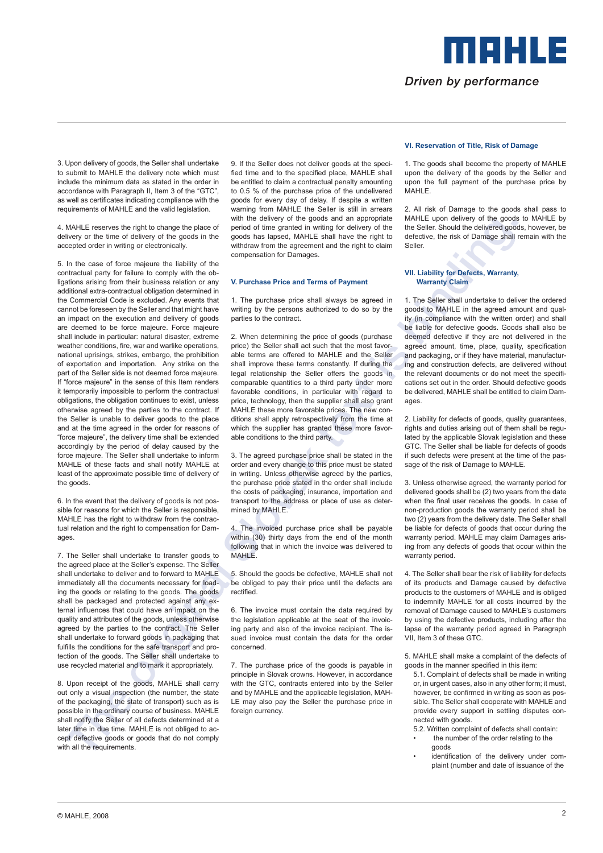3. Upon delivery of goods, the Seller shall undertake to submit to MAHLE the delivery note which must include the minimum data as stated in the order in accordance with Paragraph II, Item 3 of the "GTC", as well as certificates indicating compliance with the requirements of MAHLE and the valid legislation.

4. MAHLE reserves the right to change the place of delivery or the time of delivery of the goods in the accepted order in writing or electronically.

We have the result of the same propose in the same of the same of the same of the same of the same of the same of the same of the same of the same of the same of the same of the same of the same of the same of the same of 5. In the case of force majeure the liability of the contractual party for failure to comply with the obligations arising from their business relation or any additional extra-contractual obligation determined in the Commercial Code is excluded. Any events that cannot be foreseen by the Seller and that might have an impact on the execution and delivery of goods are deemed to be force majeure. Force majeure shall include in particular: natural disaster, extreme weather conditions, fire, war and warlike operations, national uprisings, strikes, embargo, the prohibition of exportation and importation. Any strike on the part of the Seller side is not deemed force majeure. If "force majeure" in the sense of this Item renders it temporarily impossible to perform the contractual obligations, the obligation continues to exist, unless otherwise agreed by the parties to the contract. If the Seller is unable to deliver goods to the place and at the time agreed in the order for reasons of "force majeure", the delivery time shall be extended accordingly by the period of delay caused by the force majeure. The Seller shall undertake to inform MAHLE of these facts and shall notify MAHLE at least of the approximate possible time of delivery of the goods.

6. In the event that the delivery of goods is not possible for reasons for which the Seller is responsible, MAHLE has the right to withdraw from the contractual relation and the right to compensation for Damages.

7. The Seller shall undertake to transfer goods to the agreed place at the Seller's expense. The Seller shall undertake to deliver and to forward to MAHLE immediately all the documents necessary for loading the goods or relating to the goods. The goods shall be packaged and protected against any external influences that could have an impact on the quality and attributes of the goods, unless otherwise agreed by the parties to the contract. The Seller shall undertake to forward goods in packaging that fulfills the conditions for the safe transport and protection of the goods. The Seller shall undertake to use recycled material and to mark it appropriately.

8. Upon receipt of the goods, MAHLE shall carry out only a visual inspection (the number, the state of the packaging, the state of transport) such as is possible in the ordinary course of business. MAHLE shall notify the Seller of all defects determined at a later time in due time. MAHLE is not obliged to accept defective goods or goods that do not comply with all the requirements.

9. If the Seller does not deliver goods at the specified time and to the specified place, MAHLE shall be entitled to claim a contractual penalty amounting to 0.5 % of the purchase price of the undelivered goods for every day of delay. If despite a written warning from MAHLE the Seller is still in arrears with the delivery of the goods and an appropriate period of time granted in writing for delivery of the goods has lapsed, MAHLE shall have the right to withdraw from the agreement and the right to claim compensation for Damages.

### **V. Purchase Price and Terms of Payment**

1. The purchase price shall always be agreed in writing by the persons authorized to do so by the parties to the contract.

2. When determining the price of goods (purchase price) the Seller shall act such that the most favorable terms are offered to MAHLE and the Seller shall improve these terms constantly. If during the legal relationship the Seller offers the goods in comparable quantities to a third party under more favorable conditions, in particular with regard to price, technology, then the supplier shall also grant MAHLE these more favorable prices. The new conditions shall apply retrospectively from the time at which the supplier has granted these more favorable conditions to the third party.

3. The agreed purchase price shall be stated in the order and every change to this price must be stated in writing. Unless otherwise agreed by the parties, the purchase price stated in the order shall include the costs of packaging, insurance, importation and transport to the address or place of use as determined by MAHLE.

4. The invoiced purchase price shall be payable within (30) thirty days from the end of the month following that in which the invoice was delivered to MAHLE.

5. Should the goods be defective, MAHLE shall not be obliged to pay their price until the defects are rectified.

6. The invoice must contain the data required by the legislation applicable at the seat of the invoicing party and also of the invoice recipient. The issued invoice must contain the data for the order concerned.

7. The purchase price of the goods is payable in principle in Slovak crowns. However, in accordance with the GTC, contracts entered into by the Seller and by MAHLE and the applicable legislation, MAH-LE may also pay the Seller the purchase price in foreign currency.

### **VI. Reservation of Title, Risk of Damage**

1. The goods shall become the property of MAHLE upon the delivery of the goods by the Seller and upon the full payment of the purchase price by MAHLE.

2. All risk of Damage to the goods shall pass to MAHLE upon delivery of the goods to MAHLE by the Seller. Should the delivered goods, however, be defective, the risk of Damage shall remain with the Seller.

# **VII. Liability for Defects, Warranty, Warranty Claim**

1. The Seller shall undertake to deliver the ordered goods to MAHLE in the agreed amount and quality (in compliance with the written order) and shall be liable for defective goods. Goods shall also be deemed defective if they are not delivered in the agreed amount, time, place, quality, specification and packaging, or if they have material, manufacturing and construction defects, are delivered without the relevant documents or do not meet the specifications set out in the order. Should defective goods be delivered, MAHLE shall be entitled to claim Damages.

2. Liability for defects of goods, quality guarantees, rights and duties arising out of them shall be regulated by the applicable Slovak legislation and these GTC. The Seller shall be liable for defects of goods if such defects were present at the time of the passage of the risk of Damage to MAHLE.

3. Unless otherwise agreed, the warranty period for delivered goods shall be (2) two years from the date when the final user receives the goods. In case of non-production goods the warranty period shall be two (2) years from the delivery date. The Seller shall be liable for defects of goods that occur during the warranty period. MAHLE may claim Damages arising from any defects of goods that occur within the warranty period.

4. The Seller shall bear the risk of liability for defects of its products and Damage caused by defective products to the customers of MAHLE and is obliged to indemnify MAHLE for all costs incurred by the removal of Damage caused to MAHLE's customers by using the defective products, including after the lapse of the warranty period agreed in Paragraph VII, Item 3 of these GTC.

5. MAHLE shall make a complaint of the defects of goods in the manner specified in this item:

- 5.1. Complaint of defects shall be made in writing or, in urgent cases, also in any other form; it must, however, be confirmed in writing as soon as possible. The Seller shall cooperate with MAHLE and provide every support in settling disputes connected with goods.
- 5.2. Written complaint of defects shall contain: the number of the order relating to the goods
- identification of the delivery under complaint (number and date of issuance of the